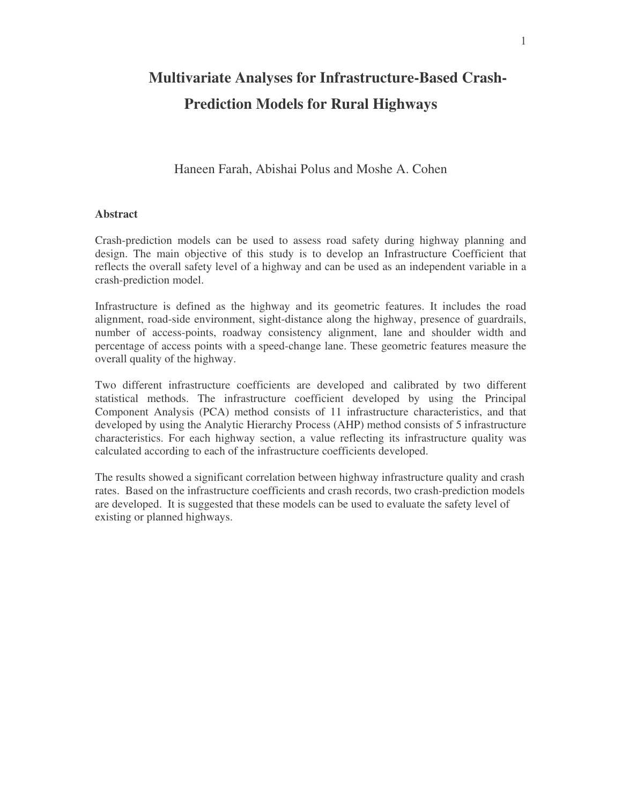# **Multivariate Analyses for Infrastructure-Based Crash-Prediction Models for Rural Highways**

# Haneen Farah, Abishai Polus and Moshe A. Cohen

#### **Abstract**

Crash-prediction models can be used to assess road safety during highway planning and design. The main objective of this study is to develop an Infrastructure Coefficient that reflects the overall safety level of a highway and can be used as an independent variable in a crash-prediction model.

Infrastructure is defined as the highway and its geometric features. It includes the road alignment, road-side environment, sight-distance along the highway, presence of guardrails, number of access-points, roadway consistency alignment, lane and shoulder width and percentage of access points with a speed-change lane. These geometric features measure the overall quality of the highway.

Two different infrastructure coefficients are developed and calibrated by two different statistical methods. The infrastructure coefficient developed by using the Principal Component Analysis (PCA) method consists of 11 infrastructure characteristics, and that developed by using the Analytic Hierarchy Process (AHP) method consists of 5 infrastructure characteristics. For each highway section, a value reflecting its infrastructure quality was calculated according to each of the infrastructure coefficients developed.

The results showed a significant correlation between highway infrastructure quality and crash rates. Based on the infrastructure coefficients and crash records, two crash-prediction models are developed. It is suggested that these models can be used to evaluate the safety level of existing or planned highways.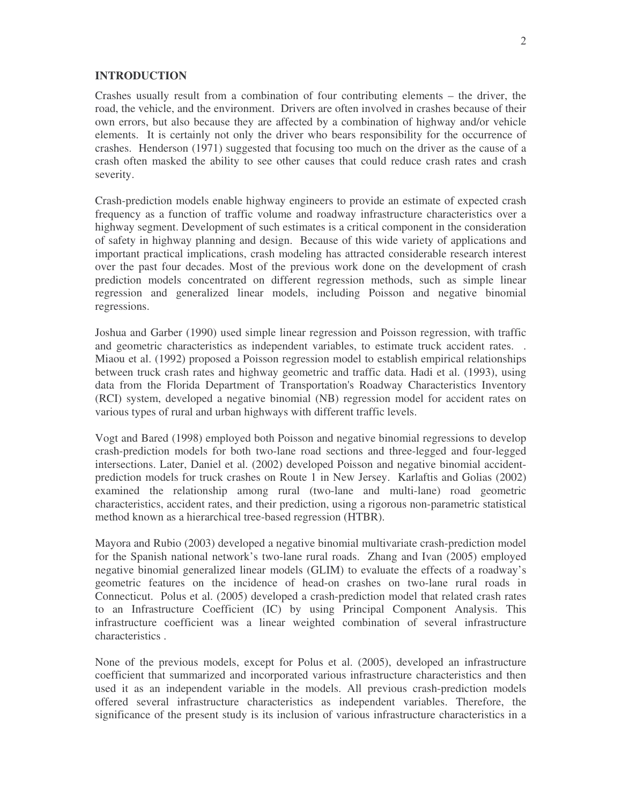#### **INTRODUCTION**

Crashes usually result from a combination of four contributing elements – the driver, the road, the vehicle, and the environment. Drivers are often involved in crashes because of their own errors, but also because they are affected by a combination of highway and/or vehicle elements. It is certainly not only the driver who bears responsibility for the occurrence of crashes. Henderson (1971) suggested that focusing too much on the driver as the cause of a crash often masked the ability to see other causes that could reduce crash rates and crash severity.

Crash-prediction models enable highway engineers to provide an estimate of expected crash frequency as a function of traffic volume and roadway infrastructure characteristics over a highway segment. Development of such estimates is a critical component in the consideration of safety in highway planning and design. Because of this wide variety of applications and important practical implications, crash modeling has attracted considerable research interest over the past four decades. Most of the previous work done on the development of crash prediction models concentrated on different regression methods, such as simple linear regression and generalized linear models, including Poisson and negative binomial regressions.

Joshua and Garber (1990) used simple linear regression and Poisson regression, with traffic and geometric characteristics as independent variables, to estimate truck accident rates. . Miaou et al. (1992) proposed a Poisson regression model to establish empirical relationships between truck crash rates and highway geometric and traffic data. Hadi et al. (1993), using data from the Florida Department of Transportation's Roadway Characteristics Inventory (RCI) system, developed a negative binomial (NB) regression model for accident rates on various types of rural and urban highways with different traffic levels.

Vogt and Bared (1998) employed both Poisson and negative binomial regressions to develop crash-prediction models for both two-lane road sections and three-legged and four-legged intersections. Later, Daniel et al. (2002) developed Poisson and negative binomial accidentprediction models for truck crashes on Route 1 in New Jersey. Karlaftis and Golias (2002) examined the relationship among rural (two-lane and multi-lane) road geometric characteristics, accident rates, and their prediction, using a rigorous non-parametric statistical method known as a hierarchical tree-based regression (HTBR).

Mayora and Rubio (2003) developed a negative binomial multivariate crash-prediction model for the Spanish national network's two-lane rural roads. Zhang and Ivan (2005) employed negative binomial generalized linear models (GLIM) to evaluate the effects of a roadway's geometric features on the incidence of head-on crashes on two-lane rural roads in Connecticut. Polus et al. (2005) developed a crash-prediction model that related crash rates to an Infrastructure Coefficient (IC) by using Principal Component Analysis. This infrastructure coefficient was a linear weighted combination of several infrastructure characteristics

None of the previous models, except for Polus et al. (2005), developed an infrastructure coefficient that summarized and incorporated various infrastructure characteristics and then used it as an independent variable in the models. All previous crash-prediction models offered several infrastructure characteristics as independent variables Therefore, the significance of the present study is its inclusion of various infrastructure characteristics in a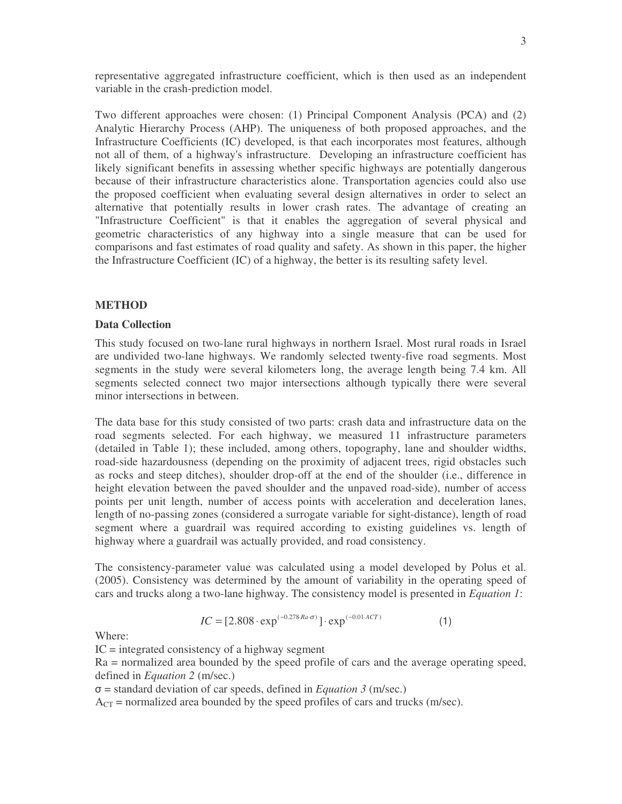representative aggregated infrastructure coefficient, which is then used as an independent variable in the crash-prediction model.

Two different approaches were chosen: (1) Principal Component Analysis (PCA) and (2) Analytic Hierarchy Process (AHP). The uniqueness of both proposed approaches, and the Infrastructure Coefficients (IC) developed, is that each incorporates most features, although not all of them, of a highway's infrastructure. Developing an infrastructure coefficient has likely significant benefits in assessing whether specific highways are potentially dangerous because of their infrastructure characteristics alone. Transportation agencies could also use the proposed coefficient when evaluating several design alternatives in order to select an alternative that potentially results in lower crash rates. The advantage of creating an "Infrastructure Coefficient" is that it enables the aggregation of several physical and geometric characteristics of any highway into a single measure that can be used for comparisons and fast estimates of road quality and safety. As shown in this paper, the higher the Infrastructure Coefficient (IC) of a highway, the better is its resulting safety level.

#### **METHOD**

#### **Data Collection**

This study focused on two-lane rural highways in northern Israel. Most rural roads in Israel are undivided two-lane highways. We randomly selected twenty-five road segments. Most segments in the study were several kilometers long, the average length being 7.4 km All segments selected connect two major intersections although typically there were several minor intersections in between.

The data base for this study consisted of two parts: crash data and infrastructure data on the road segments selected. For each highway, we measured 11 infrastructure parameters (detailed in Table 1); these included, among others, topography, lane and shoulder widths, road-side hazardousness (depending on the proximity of adjacent trees, rigid obstacles such as rocks and steep ditches), shoulder drop-off at the end of the shoulder (i.e., difference in height elevation between the paved shoulder and the unpaved road-side), number of access points per unit length, number of access points with acceleration and deceleration lanes, length of no-passing zones (considered a surrogate variable for sight-distance), length of road segment where a guardrail was required according to existing guidelines vs. length of highway where a guardrail was actually provided, and road consistency.

The consistency-parameter value was calculated using a model developed by Polus et al. (2005). Consistency was determined by the amount of variability in the operating speed of cars and trucks along a two-lane highway. The consistency model is presented in *Equation 1*:

$$
IC = [2.808 \cdot \exp^{(-0.278 \cdot Ra \cdot \sigma)}] \cdot \exp^{(-0.01 \cdot ACT)}
$$
 (1)

Where:

 $IC =$  integrated consistency of a highway segment

Ra = normalized area bounded by the speed profile of cars and the average operating speed, defined in *Equation 2* (m/sec.)

 $\sigma$  = standard deviation of car speeds, defined in *Equation* 3 (m/sec.)

 $A_{CT}$  = normalized area bounded by the speed profiles of cars and trucks (m/sec).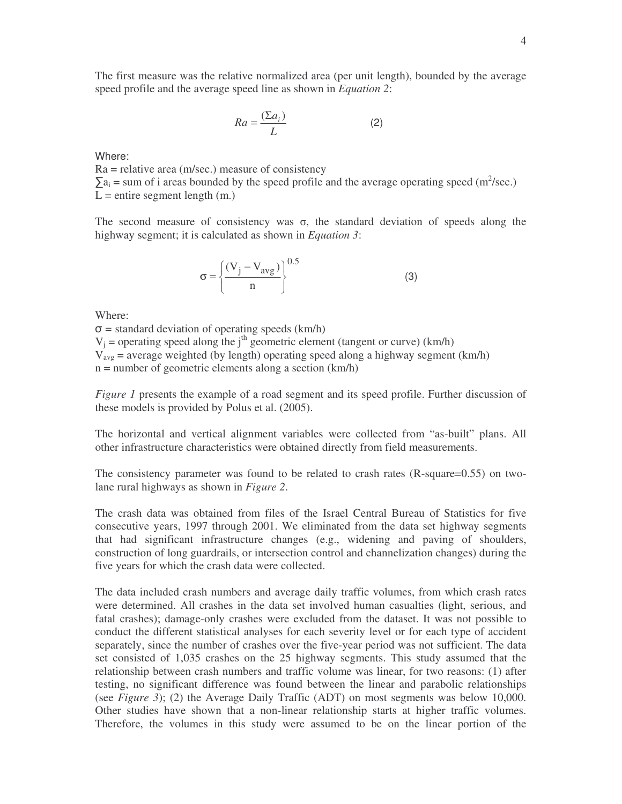The first measure was the relative normalized area (per unit length), bounded by the average speed profile and the average speed line as shown in *Equation 2*:

$$
Ra = \frac{(\Sigma a_i)}{L} \tag{2}
$$

Where:

 $Ra =$  relative area (m/sec.) measure of consistency  $\sum a_i$  = sum of i areas bounded by the speed profile and the average operating speed (m<sup>2</sup>/sec.)  $L =$  entire segment length  $(m.)$ 

The second measure of consistency was  $\sigma$ , the standard deviation of speeds along the highway segment; it is calculated as shown in *Equation 3*:

$$
\sigma = \left\{ \frac{(V_j - V_{avg})}{n} \right\}^{0.5}
$$
 (3)

Where:

 $\sigma$  = standard deviation of operating speeds (km/h)  $V_j$  = operating speed along the j<sup>th</sup> geometric element (tangent or curve) (km/h)  $V_{\text{avg}}$  = average weighted (by length) operating speed along a highway segment (km/h) n = number of geometric elements along a section (km/h)

*Figure 1* presents the example of a road segment and its speed profile. Further discussion of these models is provided by Polus et al. (2005).

The horizontal and vertical alignment variables were collected from "as-built" plans. All other infrastructure characteristics were obtained directly from field measurements.

The consistency parameter was found to be related to crash rates (R-square=0.55) on twolane rural highways as shown in *Figure 2*.

The crash data was obtained from files of the Israel Central Bureau of Statistics for five consecutive years, 1997 through 2001. We eliminated from the data set highway segments that had significant infrastructure changes (e.g., widening and paving of shoulders, construction of long guardrails, or intersection control and channelization changes) during the five years for which the crash data were collected.

The data included crash numbers and average daily traffic volumes, from which crash rates were determined. All crashes in the data set involved human casualties (light, serious, and fatal crashes); damage-only crashes were excluded from the dataset. It was not possible to conduct the different statistical analyses for each severity level or for each type of accident separately, since the number of crashes over the five-year period was not sufficient. The data set consisted of 1,035 crashes on the 25 highway segments. This study assumed that the relationship between crash numbers and traffic volume was linear, for two reasons: (1) after testing, no significant difference was found between the linear and parabolic relationships (see *Figure 3*); (2) the Average Daily Traffic (ADT) on most segments was below 10,000. Other studies have shown that a non-linear relationship starts at higher traffic volumes. Therefore, the volumes in this study were assumed to be on the linear portion of the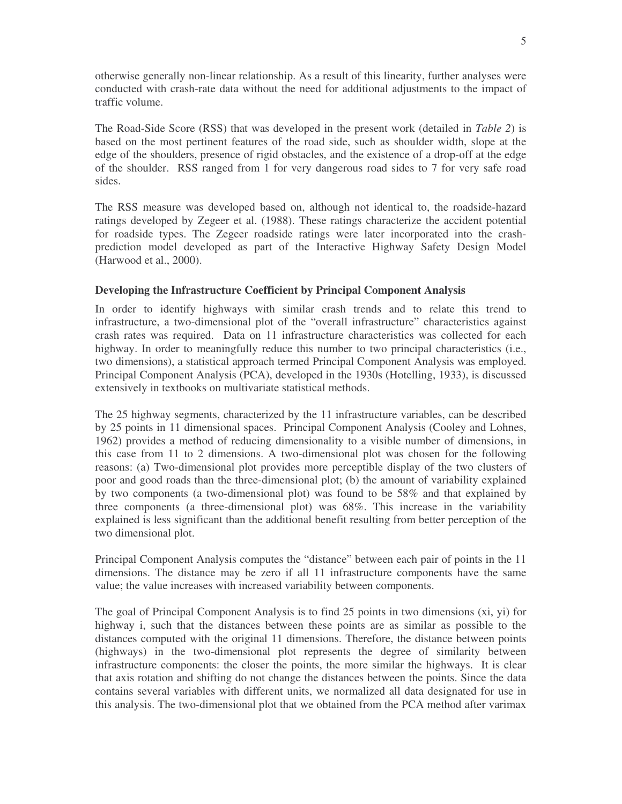otherwise generally non-linear relationship. As a result of this linearity, further analyses were conducted with crash-rate data without the need for additional adjustments to the impact of traffic volume.

The Road-Side Score (RSS) that was developed in the present work (detailed in *Table 2*) is based on the most pertinent features of the road side, such as shoulder width, slope at the edge of the shoulders, presence of rigid obstacles, and the existence of a drop-off at the edge of the shoulder. RSS ranged from 1 for very dangerous road sides to 7 for very safe road sides.

The RSS measure was developed based on, although not identical to, the roadside-hazard ratings developed by Zegeer et al. (1988). These ratings characterize the accident potential for roadside types. The Zegeer roadside ratings were later incorporated into the crashprediction model developed as part of the Interactive Highway Safety Design Model (Harwood et al., 2000).

#### **Developing the Infrastructure Coefficient by Principal Component Analysis**

In order to identify highways with similar crash trends and to relate this trend to infrastructure, a two-dimensional plot of the "overall infrastructure" characteristics against crash rates was required. Data on 11 infrastructure characteristics was collected for each highway. In order to meaningfully reduce this number to two principal characteristics (i.e., two dimensions), a statistical approach termed Principal Component Analysis was employed Principal Component Analysis (PCA), developed in the 1930s (Hotelling, 1933), is discussed extensively in textbooks on multivariate statistical methods.

The 25 highway segments, characterized by the 11 infrastructure variables, can be described by 25 points in 11 dimensional spaces. Principal Component Analysis (Cooley and Lohnes, 1962) provides a method of reducing dimensionality to a visible number of dimensions, in this case from 11 to 2 dimensions. A two-dimensional plot was chosen for the following reasons: (a) Two-dimensional plot provides more perceptible display of the two clusters of poor and good roads than the three-dimensional plot; (b) the amount of variability explained by two components (a two-dimensional plot) was found to be 58% and that explained by three components (a three-dimensional plot) was 68%. This increase in the variability explained is less significant than the additional benefit resulting from better perception of the two dimensional plot.

Principal Component Analysis computes the "distance" between each pair of points in the 11 dimensions. The distance may be zero if all 11 infrastructure components have the same value; the value increases with increased variability between components

The goal of Principal Component Analysis is to find 25 points in two dimensions (xi, yi) for highway i, such that the distances between these points are as similar as possible to the distances computed with the original 11 dimensions. Therefore, the distance between points (highways) in the two-dimensional plot represents the degree of similarity between infrastructure components: the closer the points, the more similar the highways. It is clear that axis rotation and shifting do not change the distances between the points Since the data contains several variables with different units, we normalized all data designated for use in this analysis. The two-dimensional plot that we obtained from the PCA method after varimax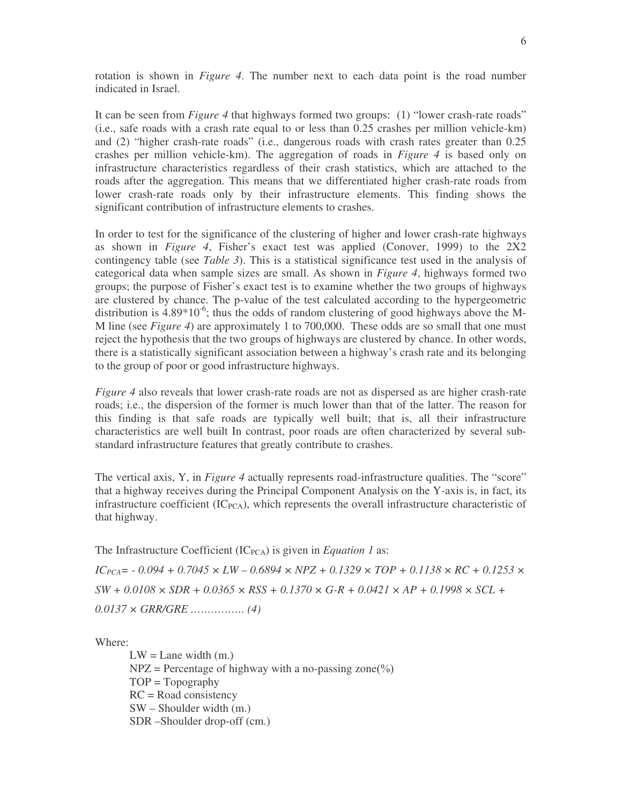rotation is shown in *Figure 4*. The number next to each data point is the road number indicated in Israel.

It can be seen from *Figure 4* that highways formed two groups: (1) "lower crash-rate roads" (i.e., safe roads with a crash rate equal to or less than 0.25 crashes per million vehicle-km) and (2) "higher crash-rate roads" (i.e., dangerous roads with crash rates greater than 0.25 crashes per million vehicle-km). The aggregation of roads in *Figure 4* is based only on infrastructure characteristics regardless of their crash statistics, which are attached to the roads after the aggregation. This means that we differentiated higher crash-rate roads from lower crash-rate roads only by their infrastructure elements. This finding shows the significant contribution of infrastructure elements to crashes.

In order to test for the significance of the clustering of higher and lower crash-rate highways as shown in *Figure 4*, Fisher's exact test was applied (Conover, 1999) to the 2X2 contingency table (see *Table 3*). This is a statistical significance test used in the analysis of categorical data when sample sizes are small. As shown in *Figure 4*, highways formed two groups; the purpose of Fisher's exact test is to examine whether the two groups of highways are clustered by chance. The p-value of the test calculated according to the hypergeometric distribution is  $4.89*10^{-6}$ ; thus the odds of random clustering of good highways above the M-M line (see *Figure 4*) are approximately 1 to 700,000. These odds are so small that one must reject the hypothesis that the two groups of highways are clustered by chance. In other words, there is a statistically significant association between a highway's crash rate and its belonging to the group of poor or good infrastructure highways.

*Figure* 4 also reveals that lower crash-rate roads are not as dispersed as are higher crash-rate roads; i.e., the dispersion of the former is much lower than that of the latter. The reason for this finding is that safe roads are typically well built; that is, all their infrastructure characteristics are well built In contrast, poor roads are often characterized by several substandard infrastructure features that greatly contribute to crashes

The vertical axis, Y, in *Figure 4* actually represents road-infrastructure qualities. The "score" that a highway receives during the Principal Component Analysis on the Y-axis is, in fact, its infrastructure coefficient  $(IC_{PCA}$ ), which represents the overall infrastructure characteristic of that highway

The Infrastructure Coefficient  $(IC_{PCA})$  is given in *Equation 1* as:

 $IC_{PCA}$ = - 0.094 + 0.7045 × LW – 0.6894 × NPZ + 0.1329 × TOP + 0.1138 × RC + 0.1253 ×  $SW + 0.0108 \times SDR + 0.0365 \times RSS + 0.1370 \times G-R + 0.0421 \times AP + 0.1998 \times SCL +$ *0.0137 × GRR/GRE ……………. (4)*

Where:

 $LW =$ Lane width  $(m.)$  $NPZ = Percentage of highway with a no-passing zone (%)$  $TOP = Topography$  $RC = Road consistency$ SW – Shoulder width (m.) SDR –Shoulder drop-off (cm.)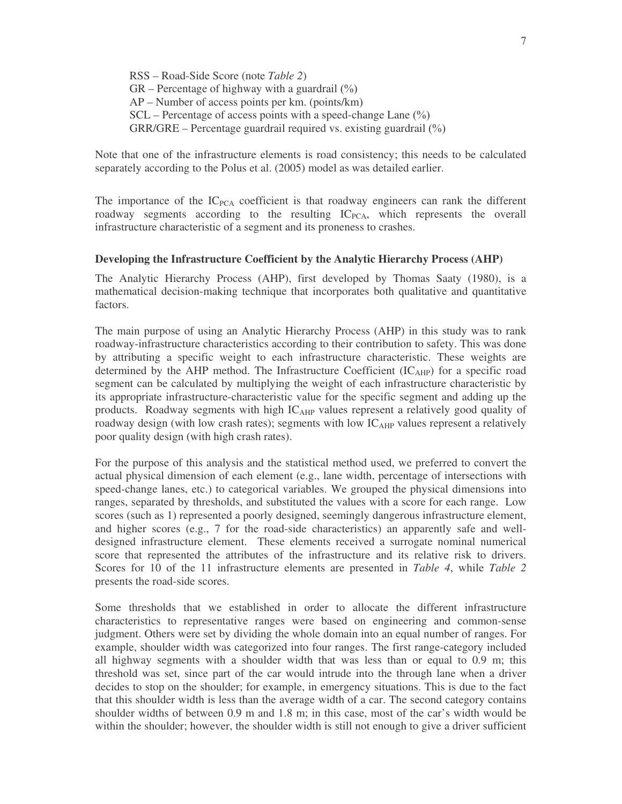RSS – Road-Side Score (note *Table 2*)  $GR$  – Percentage of highway with a guardrail  $(\%)$ AP – Number of access points per km. (points/km  $SCL$  – Percentage of access points with a speed-change Lane  $(\%)$  $GRR/GRE$  – Percentage guardrail required vs. existing guardrail  $(\%)$ 

Note that one of the infrastructure elements is road consistency; this needs to be calculated separately according to the Polus et al. (2005) model as was detailed earlier.

The importance of the  $IC_{PCA}$  coefficient is that roadway engineers can rank the different roadway segments according to the resulting  $IC<sub>PCA</sub>$ , which represents the overall infrastructure characteristic of a segment and its proneness to crashes.

#### **Developing the Infrastructure Coefficient by the Analytic Hierarchy Process (AHP)**

The Analytic Hierarchy Process (AHP), first developed by Thomas Saaty (1980), is a mathematical decision-making technique that incorporates both qualitative and quantitative factors.

The main purpose of using an Analytic Hierarchy Process (AHP) in this study was to rank roadway-infrastructure characteristics according to their contribution to safety. This was done by attributing a specific weight to each infrastructure characteristic. These weights are determined by the AHP method. The Infrastructure Coefficient  $(IC<sub>AHP</sub>)$  for a specific road segment can be calculated by multiplying the weight of each infrastructure characteristic by its appropriate infrastructure-characteristic value for the specific segment and adding up the products. Roadway segments with high  $IC<sub>AHP</sub>$  values represent a relatively good quality of roadway design (with low crash rates); segments with low  $IC<sub>AHP</sub>$  values represent a relatively poor quality design (with high crash rates).

For the purpose of this analysis and the statistical method used, we preferred to convert the actual physical dimension of each element (e.g., lane width, percentage of intersections with speed-change lanes, etc.) to categorical variables. We grouped the physical dimensions into ranges, separated by thresholds, and substituted the values with a score for each range. Low scores (such as 1) represented a poorly designed, seemingly dangerous infrastructure element, and higher scores (e.g., 7 for the road-side characteristics) an apparently safe and welldesigned infrastructure element. These elements received a surrogate nominal numerical score that represented the attributes of the infrastructure and its relative risk to drivers. Scores for 10 of the 11 infrastructure elements are presented in *Table 4*, while *Table 2* presents the road-side scores.

Some thresholds that we established in order to allocate the different infrastructure characteristics to representative ranges were based on engineering and common-sense judgment. Others were set by dividing the whole domain into an equal number of ranges. For example, shoulder width was categorized into four ranges. The first range-category included all highway segments with a shoulder width that was less than or equal to 0.9 m; this threshold was set, since part of the car would intrude into the through lane when a driver decides to stop on the shoulder; for example, in emergency situations. This is due to the fact that this shoulder width is less than the average width of a car. The second category contains shoulder widths of between 0.9 m and 1.8 m; in this case, most of the car's width would be within the shoulder; however, the shoulder width is still not enough to give a driver sufficient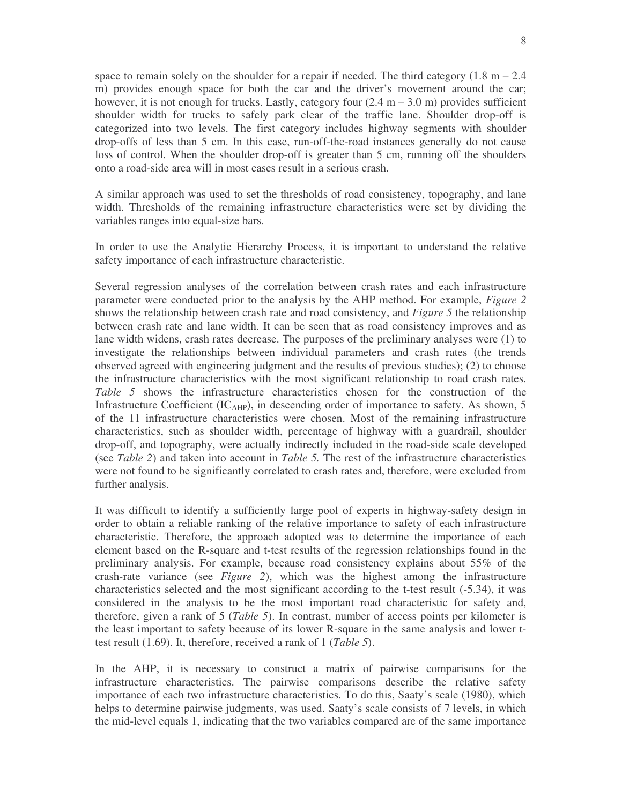space to remain solely on the shoulder for a repair if needed. The third category  $(1.8 \text{ m} - 2.4 \text{ m})$ m) provides enough space for both the car and the driver's movement around the car; however, it is not enough for trucks. Lastly, category four  $(2.4 \text{ m} - 3.0 \text{ m})$  provides sufficient shoulder width for trucks to safely park clear of the traffic lane. Shoulder drop-off is categorized into two levels. The first category includes highway segments with shoulder drop-offs of less than 5 cm. In this case, run-off-the-road instances generally do not cause loss of control. When the shoulder drop-off is greater than 5 cm, running off the shoulders onto a road-side area will in most cases result in a serious crash.

A similar approach was used to set the thresholds of road consistency, topography, and lane width. Thresholds of the remaining infrastructure characteristics were set by dividing the variables ranges into equal-size bars.

In order to use the Analytic Hierarchy Process, it is important to understand the relative safety importance of each infrastructure characteristic.

Several regression analyses of the correlation between crash rates and each infrastructure parameter were conducted prior to the analysis by the AHP method. For example, *Figure 2* shows the relationship between crash rate and road consistency, and *Figure 5* the relationship between crash rate and lane width. It can be seen that as road consistency improves and as lane width widens, crash rates decrease. The purposes of the preliminary analyses were (1) to investigate the relationships between individual parameters and crash rates (the trends observed agreed with engineering judgment and the results of previous studies); (2) to choose the infrastructure characteristics with the most significant relationship to road crash rates. *Table 5* shows the infrastructure characteristics chosen for the construction of the Infrastructure Coefficient  $(IC_{AHP})$ , in descending order of importance to safety. As shown, 5 of the 11 infrastructure characteristics were chosen. Most of the remaining infrastructure characteristics, such as shoulder width, percentage of highway with a guardrail, shoulder drop-off, and topography, were actually indirectly included in the road-side scale developed (see *Table 2*) and taken into account in *Table 5.* The rest of the infrastructure characteristics were not found to be significantly correlated to crash rates and, therefore, were excluded from further analysis.

It was difficult to identify a sufficiently large pool of experts in highway-safety design in order to obtain a reliable ranking of the relative importance to safety of each infrastructure characteristic. Therefore, the approach adopted was to determine the importance of each element based on the R-square and t-test results of the regression relationships found in the preliminary analysis. For example, because road consistency explains about 55% of the crash-rate variance (see *Figure 2*), which was the highest among the infrastructure characteristics selected and the most significant according to the t-test result (-5.34), it was considered in the analysis to be the most important road characteristic for safety and, therefore, given a rank of 5 (*Table 5*). In contrast, number of access points per kilometer is the least important to safety because of its lower R-square in the same analysis and lower ttest result (1.69). It, therefore, received a rank of 1 (*Table 5*).

In the AHP, it is necessary to construct a matrix of pairwise comparisons for the infrastructure characteristics. The pairwise comparisons describe the relative safety importance of each two infrastructure characteristics. To do this, Saaty's scale (1980), which helps to determine pairwise judgments, was used. Saaty's scale consists of 7 levels, in which the mid-level equals 1, indicating that the two variables compared are of the same importance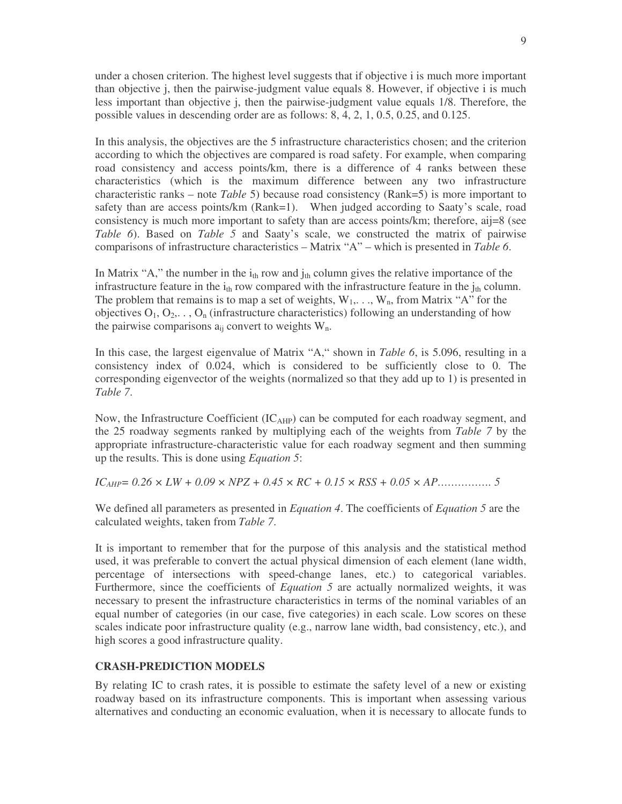under a chosen criterion. The highest level suggests that if objective i is much more important than objective j, then the pairwise-judgment value equals 8. However, if objective i is much less important than objective j, then the pairwise-judgment value equals 1/8. Therefore, the possible values in descending order are as follows: 8, 4, 2, 1, 0.5, 0.25, and 0.125.

In this analysis, the objectives are the 5 infrastructure characteristics chosen; and the criterion according to which the objectives are compared is road safety. For example, when comparing road consistency and access points/km, there is a difference of 4 ranks between these characteristics (which is the maximum difference between any two infrastructure characteristic ranks – note *Table* 5) because road consistency (Rank=5) is more important to safety than are access points/km (Rank=1). When judged according to Saaty's scale, road consistency is much more important to safety than are access points/ $km$ ; therefore, aij=8 (see *Table 6*). Based on *Table 5* and Saaty's scale, we constructed the matrix of pairwise comparisons of infrastructure characteristics – Matrix "A" – which is presented in *Table 6*.

In Matrix "A," the number in the  $i_{th}$  row and  $j_{th}$  column gives the relative importance of the infrastructure feature in the  $i_{th}$  row compared with the infrastructure feature in the  $j_{th}$  column. The problem that remains is to map a set of weights,  $W_1, \ldots, W_n$ , from Matrix "A" for the objectives  $O_1, O_2, \ldots, O_n$  (infrastructure characteristics) following an understanding of how the pairwise comparisons  $a_{ii}$  convert to weights  $W_n$ .

In this case, the largest eigenvalue of Matrix "A," shown in *Table 6*, is 5.096, resulting in a consistency index of 0.024, which is considered to be sufficiently close to 0. The corresponding eigenvector of the weights (normalized so that they add up to 1) is presented in *Table 7*.

Now, the Infrastructure Coefficient  $(IC<sub>AHP</sub>)$  can be computed for each roadway segment, and the 25 roadway segments ranked by multiplying each of the weights from *Table 7* by the appropriate infrastructure-characteristic value for each roadway segment and then summing up the results. This is done using *Equation 5* 

*ICAHP= 0.26 × LW + 0.09 × NPZ + 0.45 × RC + 0.15 × RSS + 0.05 × AP……………. 5*

We defined all parameters as presented in *Equation 4*. The coefficients of *Equation 5* are the calculated weights, taken from *Table 7*.

It is important to remember that for the purpose of this analysis and the statistical method used, it was preferable to convert the actual physical dimension of each element (lane width, percentage of intersections with speed-change lanes, etc.) to categorical variables. Furthermore, since the coefficients of *Equation* 5 are actually normalized weights, it was necessary to present the infrastructure characteristics in terms of the nominal variables of an equal number of categories (in our case, five categories) in each scale. Low scores on these scales indicate poor infrastructure quality (e.g., narrow lane width, bad consistency, etc.), and high scores a good infrastructure quality.

### **CRASH-PREDICTION MODELS**

By relating IC to crash rates, it is possible to estimate the safety level of a new or existing roadway based on its infrastructure components. This is important when assessing various alternatives and conducting an economic evaluation, when it is necessary to allocate funds to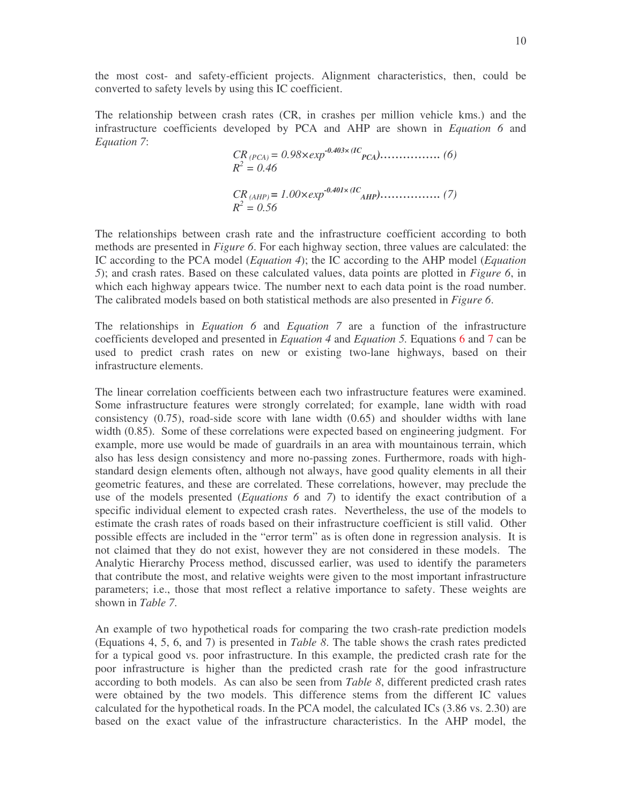the most cost- and safety-efficient projects. Alignment characteristics, then, could be converted to safety levels by using this IC coefficient

The relationship between crash rates (CR, in crashes per million vehicle kms.) and the infrastructure coefficients developed by PCA and AHP are shown in *Equation 6* and *Equation 7*: *-0.403× (IC*

$$
CR_{(PCA)} = 0.98 \times exp^{-0.403 \times (IC_{PCA})}
$$
 (6)  
\n
$$
R^{2} = 0.46
$$
  
\n
$$
CR_{(AHP)} = 1.00 \times exp^{-0.401 \times (IC_{AHP})}
$$
 (7)  
\n
$$
R^{2} = 0.56
$$

The relationships between crash rate and the infrastructure coefficient according to both methods are presented in *Figure 6*. For each highway section, three values are calculated: the IC according to the PCA model (*Equation 4*); the IC according to the AHP model (*Equation 5*); and crash rates. Based on these calculated values, data points are plotted in *Figure 6*, in which each highway appears twice. The number next to each data point is the road number. The calibrated models based on both statistical methods are also presented in *Figure 6*.

The relationships in *Equation 6* and *Equation 7* are a function of the infrastructure coefficients developed and presented in *Equation 4* and *Equation 5.* Equations 6 and 7 can be used to predict crash rates on new or existing two-lane highways, based on their infrastructure elements.

The linear correlation coefficients between each two infrastructure features were examined. Some infrastructure features were strongly correlated; for example, lane width with road consistency (0.75), road-side score with lane width (0.65) and shoulder widths with lane width (0.85). Some of these correlations were expected based on engineering judgment. For example, more use would be made of guardrails in an area with mountainous terrain, which also has less design consistency and more no-passing zones. Furthermore, roads with highstandard design elements often, although not always, have good quality elements in all their geometric features, and these are correlated. These correlations, however, may preclude the use of the models presented (*Equations 6* and *7*) to identify the exact contribution of a specific individual element to expected crash rates. Nevertheless, the use of the models to estimate the crash rates of roads based on their infrastructure coefficient is still valid. Other possible effects are included in the "error term" as is often done in regression analysis. It is not claimed that they do not exist, however they are not considered in these models. The Analytic Hierarchy Process method, discussed earlier, was used to identify the parameters that contribute the most, and relative weights were given to the most important infrastructure parameters; i.e., those that most reflect a relative importance to safety. These weights are shown in *Table 7*.

An example of two hypothetical roads for comparing the two crash-rate prediction models (Equations 4, 5, 6, and 7) is presented in *Table 8*. The table shows the crash rates predicted for a typical good vs. poor infrastructure. In this example, the predicted crash rate for the poor infrastructure is higher than the predicted crash rate for the good infrastructure according to both models. As can also be seen from *Table 8*, different predicted crash rates were obtained by the two models. This difference stems from the different IC values calculated for the hypothetical roads. In the PCA model, the calculated ICs (3.86 vs. 2.30) are based on the exact value of the infrastructure characteristics. In the AHP model, the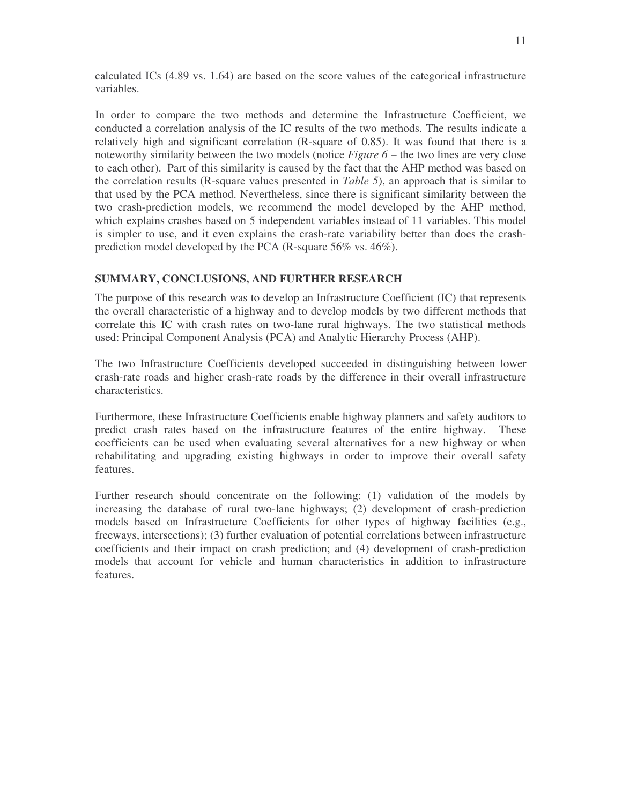calculated ICs (4.89 vs. 1.64) are based on the score values of the categorical infrastructure variables.

In order to compare the two methods and determine the Infrastructure Coefficient, we conducted a correlation analysis of the IC results of the two methods. The results indicate a relatively high and significant correlation (R-square of 0.85). It was found that there is a noteworthy similarity between the two models (notice *Figure 6* – the two lines are very close to each other). Part of this similarity is caused by the fact that the AHP method was based on the correlation results (R-square values presented in *Table 5*), an approach that is similar to that used by the PCA method. Nevertheless, since there is significant similarity between the two crash-prediction models, we recommend the model developed by the AHP method, which explains crashes based on 5 independent variables instead of 11 variables. This model is simpler to use, and it even explains the crash-rate variability better than does the crashprediction model developed by the PCA (R-square 56% vs. 46%).

# **SUMMARY, CONCLUSIONS, AND FURTHER RESEARCH**

The purpose of this research was to develop an Infrastructure Coefficient (IC) that represents the overall characteristic of a highway and to develop models by two different methods that correlate this IC with crash rates on two-lane rural highways. The two statistical methods used: Principal Component Analysis (PCA) and Analytic Hierarchy Process (AHP).

The two Infrastructure Coefficients developed succeeded in distinguishing between lower crash-rate roads and higher crash-rate roads by the difference in their overall infrastructure characteristics.

Furthermore, these Infrastructure Coefficients enable highway planners and safety auditors to predict crash rates based on the infrastructure features of the entire highway. These coefficients can be used when evaluating several alternatives for a new highway or when rehabilitating and upgrading existing highways in order to improve their overall safety features.

Further research should concentrate on the following: (1) validation of the models by increasing the database of rural two-lane highways; (2) development of crash-prediction models based on Infrastructure Coefficients for other types of highway facilities (e.g., freeways, intersections); (3) further evaluation of potential correlations between infrastructure coefficients and their impact on crash prediction; and (4) development of crash-prediction models that account for vehicle and human characteristics in addition to infrastructure features.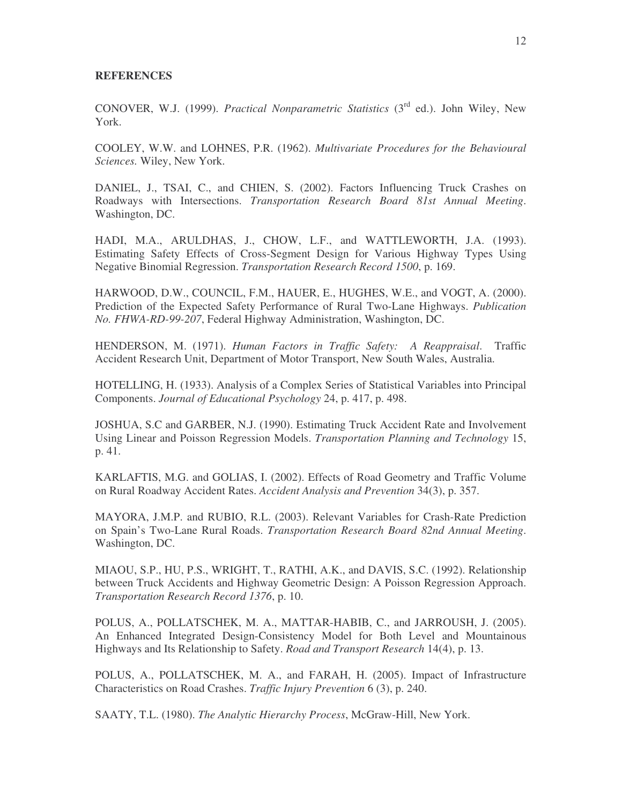#### **REFERENCES**

CONOVER, W.J. (1999). *Practical Nonparametric Statistics* (3<sup>rd</sup> ed.). John Wiley, New York.

COOLEY, W.W. and LOHNES, P.R. (1962). *Multivariate Procedures for the Behavioural Sciences.* Wiley, New York.

DANIEL, J., TSAI, C., and CHIEN, S. (2002). Factors Influencing Truck Crashes on Roadways with Intersections. *Transportation Research Board 81st Annual Meeting*. Washington, DC.

HADI, M.A., ARULDHAS, J., CHOW, L.F., and WATTLEWORTH, J.A. (1993). Estimating Safety Effects of Cross-Segment Design for Various Highway Types Using Negative Binomial Regression. *Transportation Research Record 1500*, p. 169.

HARWOOD, D.W., COUNCIL, F.M., HAUER, E., HUGHES, W.E., and VOGT, A. (2000). Prediction of the Expected Safety Performance of Rural Two-Lane Highways. *Publication No. FHWA-RD-99-207*, Federal Highway Administration, Washington, DC.

HENDERSON, M. (1971). *Human Factors in Traffic Safety: A Reappraisal*. Traffic Accident Research Unit, Department of Motor Transport, New South Wales, Australia.

HOTELLING, H. (1933). Analysis of a Complex Series of Statistical Variables into Principal Components. *Journal of Educational Psychology* 24, p. 417, p. 498.

JOSHUA, S.C and GARBER, N.J. (1990). Estimating Truck Accident Rate and Involvement Using Linear and Poisson Regression Models. *Transportation Planning and Technology* 15, p. 41.

KARLAFTIS, M.G. and GOLIAS, I. (2002). Effects of Road Geometry and Traffic Volume on Rural Roadway Accident Rates. *Accident Analysis and Prevention* 34(3), p. 357.

MAYORA, J.M.P. and RUBIO, R.L. (2003). Relevant Variables for Crash-Rate Prediction on Spain's Two-Lane Rural Roads. *Transportation Research Board 82nd Annual Meeting*. Washington, DC.

MIAOU, S.P., HU, P.S., WRIGHT, T., RATHI, A.K., and DAVIS, S.C. (1992). Relationship between Truck Accidents and Highway Geometric Design: A Poisson Regression Approach. *Transportation Research Record 1376*, p. 10.

POLUS, A., POLLATSCHEK, M. A., MATTAR-HABIB, C., and JARROUSH, J. (2005). An Enhanced Integrated Design-Consistency Model for Both Level and Mountainous Highways and Its Relationship to Safety. *Road and Transport Research* 14(4), p. 13.

POLUS, A., POLLATSCHEK, M. A., and FARAH, H. (2005). Impact of Infrastructure Characteristics on Road Crashes. *Traffic Injury Prevention* 6 (3), p. 240.

SAATY, T.L. (1980). *The Analytic Hierarchy Process*, McGraw-Hill, New York.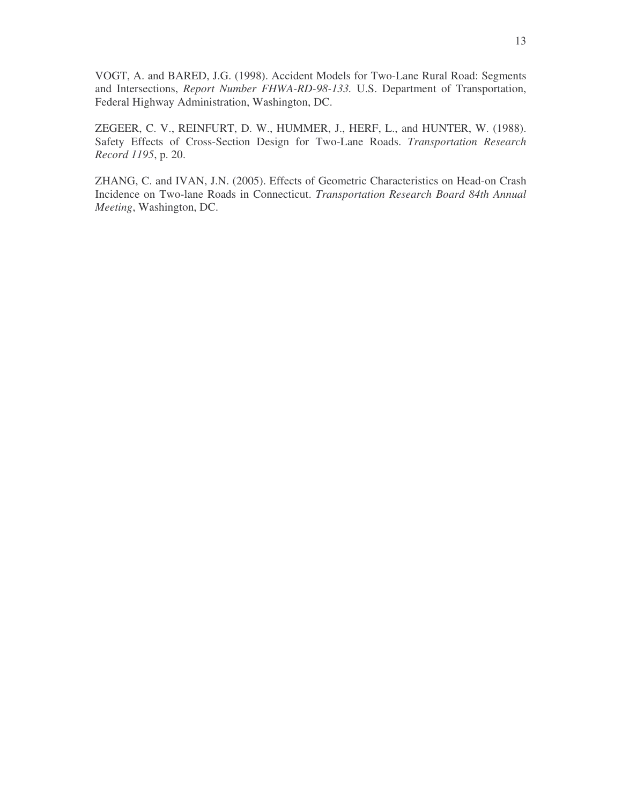VOGT, A. and BARED, J.G. (1998). Accident Models for Two-Lane Rural Road: Segments and Intersections, *Report Number FHWA-RD-98-133.* U.S. Department of Transportation, Federal Highway Administration, Washington, DC.

ZEGEER, C. V., REINFURT, D. W., HUMMER, J., HERF, L., and HUNTER, W. (1988). Safety Effects of Cross-Section Design for Two-Lane Roads. *Transportation Research Record 1195*, p. 20.

ZHANG, C. and IVAN, J.N. (2005). Effects of Geometric Characteristics on Head-on Crash Incidence on Two-lane Roads in Connecticut. *Transportation Research Board 84th Annual Meeting*, Washington, DC.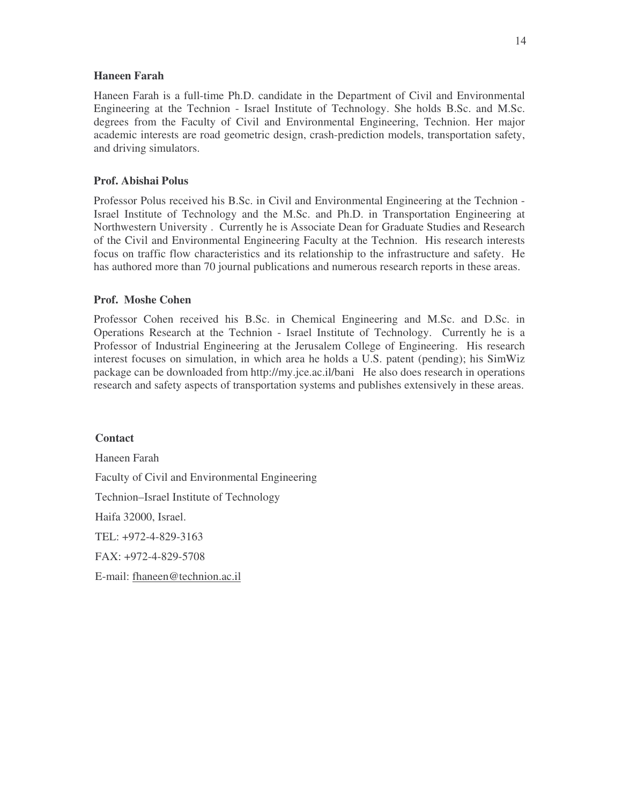#### **Haneen Farah**

Haneen Farah is a full-time Ph.D. candidate in the Department of Civil and Environmental Engineering at the Technion - Israel Institute of Technology. She holds B.Sc. and M.Sc. degrees from the Faculty of Civil and Environmental Engineering, Technion. Her major academic interests are road geometric design, crash-prediction models, transportation safety, and driving simulators.

### **Prof. Abishai Polus**

Professor Polus received his B.Sc. in Civil and Environmental Engineering at the Technion - Israel Institute of Technology and the M.Sc. and Ph.D. in Transportation Engineering at Northwestern University . Currently he is Associate Dean for Graduate Studies and Research of the Civil and Environmental Engineering Faculty at the Technion. His research interests focus on traffic flow characteristics and its relationship to the infrastructure and safety. He has authored more than 70 journal publications and numerous research reports in these areas.

#### **Prof. Moshe Cohen**

Professor Cohen received his B.Sc. in Chemical Engineering and M.Sc. and D.Sc. in Operations Research at the Technion - Israel Institute of Technology. Currently he is a Professor of Industrial Engineering at the Jerusalem College of Engineering. His research interest focuses on simulation, in which area he holds a U.S. patent (pending); his SimWiz package can be downloaded from http://my.jce.ac.il/bani He also does research in operations research and safety aspects of transportation systems and publishes extensively in these areas

**Contact** Haneen Farah Faculty of Civil and Environmental Engineering Technion–Israel Institute of Technology Haifa 32000, Israel. TEL: +972-4-829-3163 FAX: +972-4-829-5708 E-mail: fhaneen@technion.ac.il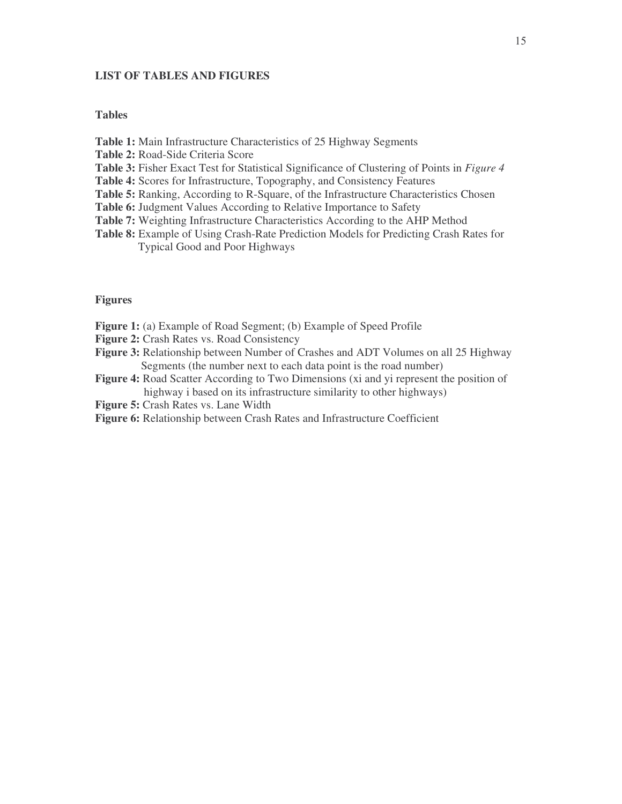#### **LIST OF TABLES AND FIGURES**

#### **Tables**

- **Table 1:** Main Infrastructure Characteristics of 25 Highway Segments
- **Table 2:** Road-Side Criteria Score
- **Table 3:** Fisher Exact Test for Statistical Significance of Clustering of Points in *Figure 4*
- **Table 4:** Scores for Infrastructure, Topography, and Consistency Features
- **Table 5:** Ranking, According to R-Square, of the Infrastructure Characteristics Chosen
- **Table 6:** Judgment Values According to Relative Importance to Safety
- **Table 7:** Weighting Infrastructure Characteristics According to the AHP Method
- **Table 8:** Example of Using Crash-Rate Prediction Models for Predicting Crash Rates for Typical Good and Poor Highways

#### **Figures**

- **Figure 1:** (a) Example of Road Segment; (b) Example of Speed Profile
- **Figure 2:** Crash Rates vs. Road Consistency
- **Figure 3:** Relationship between Number of Crashes and ADT Volumes on all 25 Highway Segments (the number next to each data point is the road number)
- **Figure 4:** Road Scatter According to Two Dimensions (xi and yi represent the position of highway i based on its infrastructure similarity to other highways)
- **Figure 5:** Crash Rates vs. Lane Width
- **Figure 6:** Relationship between Crash Rates and Infrastructure Coefficient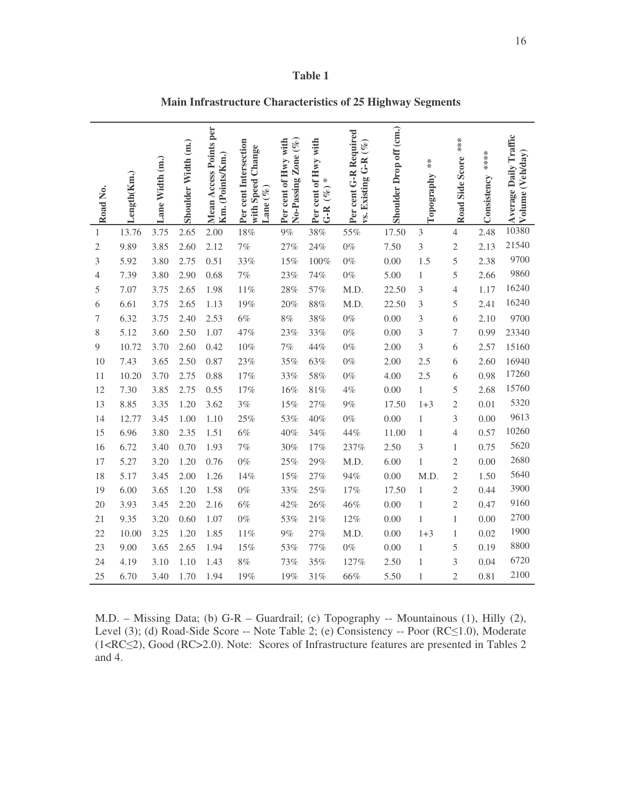| Road No.       | .ength(Km.) | Lane Width (m.) | Shoulder Width (m.) | <b>Mean Access Points per</b><br>Km. (Points/Km.) | Per cent Intersection<br>Change<br>with Speed<br>Lane $(\%$ | No-Passing Zone (%)<br>Per cent of Hwy with | Per cent of Hwy with<br>₩<br>$(\%)$<br>$G - R$ | Per cent G-R Required<br>vs. Existing G-R (%) | Shoulder Drop off (cm.) | $*$<br>Topography | ****<br>Road Side Score | ****<br>Consistency | <b>Average Daily Traffic</b><br>Volume (Veh/day) |
|----------------|-------------|-----------------|---------------------|---------------------------------------------------|-------------------------------------------------------------|---------------------------------------------|------------------------------------------------|-----------------------------------------------|-------------------------|-------------------|-------------------------|---------------------|--------------------------------------------------|
| $\mathbf{1}$   | 13.76       | 3.75            | 2.65                | 2.00                                              | 18%                                                         | 9%                                          | 38%                                            | 55%                                           | 17.50                   | 3                 | $\overline{4}$          | 2.48                | 10380                                            |
| $\overline{2}$ | 9.89        | 3.85            | 2.60                | 2.12                                              | 7%                                                          | 27%                                         | 24%                                            | $0\%$                                         | 7.50                    | 3                 | $\overline{c}$          | 2.13                | 21540                                            |
| 3              | 5.92        | 3.80            | 2.75                | 0.51                                              | 33%                                                         | 15%                                         | 100%                                           | $0\%$                                         | 0.00                    | 1.5               | 5                       | 2.38                | 9700                                             |
| 4              | 7.39        | 3.80            | 2.90                | 0.68                                              | 7%                                                          | 23%                                         | 74%                                            | $0\%$                                         | 5.00                    | 1                 | 5                       | 2.66                | 9860                                             |
| 5              | 7.07        | 3.75            | 2.65                | 1.98                                              | $11\%$                                                      | 28%                                         | 57%                                            | M.D.                                          | 22.50                   | 3                 | $\overline{4}$          | 1.17                | 16240                                            |
| 6              | 6.61        | 3.75            | 2.65                | 1.13                                              | $19\%$                                                      | 20%                                         | $88\%$                                         | M.D.                                          | 22.50                   | 3                 | 5                       | 2.41                | 16240                                            |
| 7              | 6.32        | 3.75            | 2.40                | 2.53                                              | 6%                                                          | 8%                                          | 38%                                            | $0\%$                                         | 0.00                    | 3                 | 6                       | 2.10                | 9700                                             |
| 8              | 5.12        | 3.60            | 2.50                | 1.07                                              | 47%                                                         | 23%                                         | 33%                                            | $0\%$                                         | 0.00                    | 3                 | $\sqrt{ }$              | 0.99                | 23340                                            |
| 9              | 10.72       | 3.70            | 2.60                | 0.42                                              | $10\%$                                                      | $7\%$                                       | 44%                                            | $0\%$                                         | 2.00                    | 3                 | 6                       | 2.57                | 15160                                            |
| 10             | 7.43        | 3.65            | 2.50                | 0.87                                              | 23%                                                         | 35%                                         | 63%                                            | $0\%$                                         | 2.00                    | 2.5               | 6                       | 2.60                | 16940                                            |
| 11             | 10.20       | 3.70            | 2.75                | 0.88                                              | 17%                                                         | 33%                                         | 58%                                            | $0\%$                                         | 4.00                    | 2.5               | 6                       | 0.98                | 17260                                            |
| 12             | 7.30        | 3.85            | 2.75                | 0.55                                              | 17%                                                         | 16%                                         | 81%                                            | $4\%$                                         | 0.00                    | 1                 | 5                       | 2.68                | 15760                                            |
| 13             | 8.85        | 3.35            | 1.20                | 3.62                                              | 3%                                                          | 15%                                         | 27%                                            | 9%                                            | 17.50                   | $1 + 3$           | $\overline{c}$          | 0.01                | 5320                                             |
| 14             | 12.77       | 3.45            | 1.00                | 1.10                                              | 25%                                                         | 53%                                         | 40%                                            | $0\%$                                         | $0.00\,$                | 1                 | 3                       | 0.00                | 9613                                             |
| 15             | 6.96        | 3.80            | 2.35                | 1.51                                              | 6%                                                          | 40%                                         | 34%                                            | 44%                                           | 11.00                   | 1                 | $\overline{4}$          | 0.57                | 10260                                            |
| 16             | 6.72        | 3.40            | 0.70                | 1.93                                              | 7%                                                          | 30%                                         | 17%                                            | 237%                                          | 2.50                    | 3                 | 1                       | 0.75                | 5620                                             |
| 17             | 5.27        | 3.20            | 1.20                | 0.76                                              | $0\%$                                                       | 25%                                         | 29%                                            | M.D.                                          | 6.00                    | 1                 | $\mathfrak{2}$          | 0.00                | 2680                                             |
| 18             | 5.17        | 3.45            | 2.00                | 1.26                                              | 14%                                                         | 15%                                         | 27%                                            | 94%                                           | 0.00                    | M.D.              | $\overline{2}$          | 1.50                | 5640                                             |
| 19             | 6.00        | 3.65            | 1.20                | 1.58                                              | $0\%$                                                       | 33%                                         | 25%                                            | 17%                                           | 17.50                   | 1                 | $\overline{c}$          | 0.44                | 3900                                             |
| 20             | 3.93        | 3.45            | 2.20                | 2.16                                              | 6%                                                          | 42%                                         | 26%                                            | 46%                                           | 0.00                    | 1                 | $\overline{c}$          | 0.47                | 9160                                             |
| 21             | 9.35        | 3.20            | 0.60                | 1.07                                              | $0\%$                                                       | 53%                                         | 21%                                            | 12%                                           | 0.00                    | 1                 | 1                       | 0.00                | 2700                                             |
| 22             | 10.00       | 3.25            | 1.20                | 1.85                                              | 11%                                                         | $9\%$                                       | 27%                                            | M.D.                                          | 0.00                    | $1 + 3$           | 1                       | 0.02                | 1900                                             |
| 23             | 9.00        | 3.65            | 2.65                | 1.94                                              | 15%                                                         | 53%                                         | 77%                                            | $0\%$                                         | 0.00                    | 1                 | 5                       | 0.19                | 8800                                             |
| 24             | 4.19        | 3.10            | 1.10                | 1.43                                              | 8%                                                          | 73%                                         | 35%                                            | 127%                                          | 2.50                    | 1                 | 3                       | 0.04                | 6720                                             |
| 25             | 6.70        | 3.40            | 1.70                | 1.94                                              | 19%                                                         | 19%                                         | 31%                                            | 66%                                           | 5.50                    | 1                 | $\mathfrak{2}$          | 0.81                | 2100                                             |

**Main Infrastructure Characteristics of 25 Highway Segments**

M.D. – Missing Data; (b) G-R – Guardrail; (c) Topography -- Mountainous (1), Hilly (2), Level (3); (d) Road-Side Score -- Note Table 2; (e) Consistency -- Poor (RC 
in 0.0), Moderate (1<RC2), Good (RC>2.0). Note: Scores of Infrastructure features are presented in Tables 2 and 4.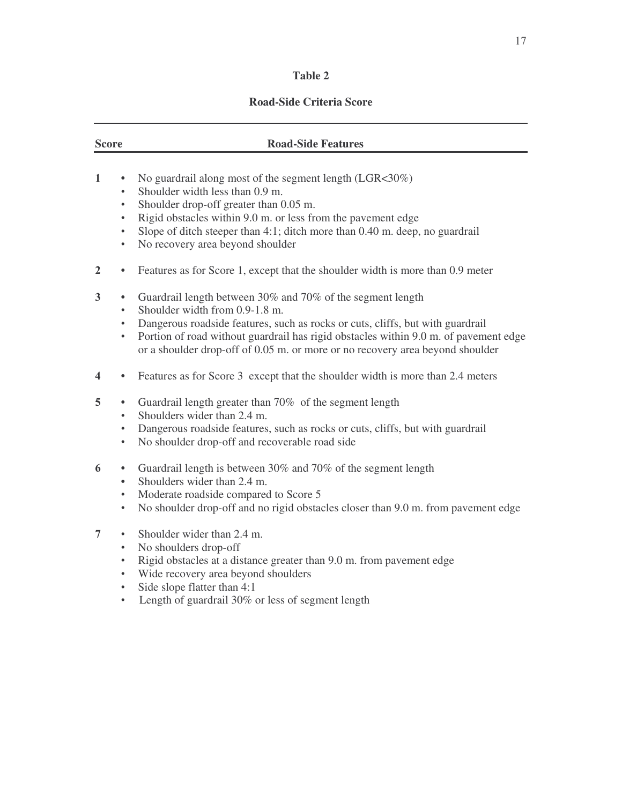# **Road-Side Criteria Score**

# **Score Road-Side Features**  $\mathbf{1}$ • No guardrail along most of the segment length (LGR<30%) Shoulder width less than 0.9 m Shoulder drop-off greater than 0.05 m Rigid obstacles within 9.0 m. or less from the pavement edge Slope of ditch steeper than 4:1; ditch more than 0.40 m. deep, no guardrail No recovery area beyond shoulder **2** • Features as for Score 1, except that the shoulder width is more than 0.9 meter Guardrail length between 30% and 70% of the segment length Shoulder width from 0.9-1.8 m Dangerous roadside features, such as rocks or cuts, cliffs, but with guardrail

- Portion of road without guardrail has rigid obstacles within 9.0 m. of pavement edge or a shoulder drop-off of 0.05 m. or more or no recovery area beyond shoulder
- **4** Features as for Score 3 except that the shoulder width is more than 2.4 meters
- 5 Guardrail length greater than 70% of the segment length
	- Shoulders wider than 2.4 m
	- Dangerous roadside features, such as rocks or cuts, cliffs, but with guardrail
	- No shoulder drop-off and recoverable road side
- Guardrail length is between 30% and 70% of the segment length
	- Shoulders wider than 2.4 m
	- Moderate roadside compared to Score 5
	- No shoulder drop-off and no rigid obstacles closer than 9.0 m. from pavement edge
- 7 Shoulder wider than 2.4 m.
	- No shoulders drop-off
	- Rigid obstacles at a distance greater than 9.0 m. from pavement edge
	- Wide recovery area beyond shoulders
	- Side slope flatter than 4:1
	- Length of guardrail 30% or less of segment length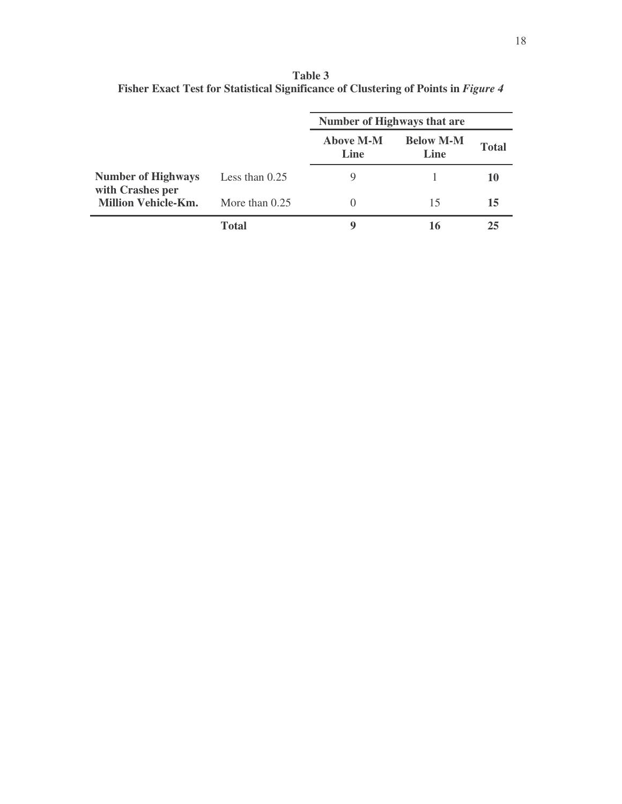**Table 3 Fisher Exact Test for Statistical Significance of Clustering of Points in** *Figure 4*

|                                               |                  | Number of Highways that are |                          |              |
|-----------------------------------------------|------------------|-----------------------------|--------------------------|--------------|
|                                               |                  | <b>Above M-M</b><br>Line    | <b>Below M-M</b><br>Line | <b>Total</b> |
| <b>Number of Highways</b><br>with Crashes per | Less than $0.25$ | 9                           |                          |              |
| <b>Million Vehicle-Km.</b>                    | More than $0.25$ |                             | 15                       | 15           |
|                                               | Total            | Q                           | 16                       |              |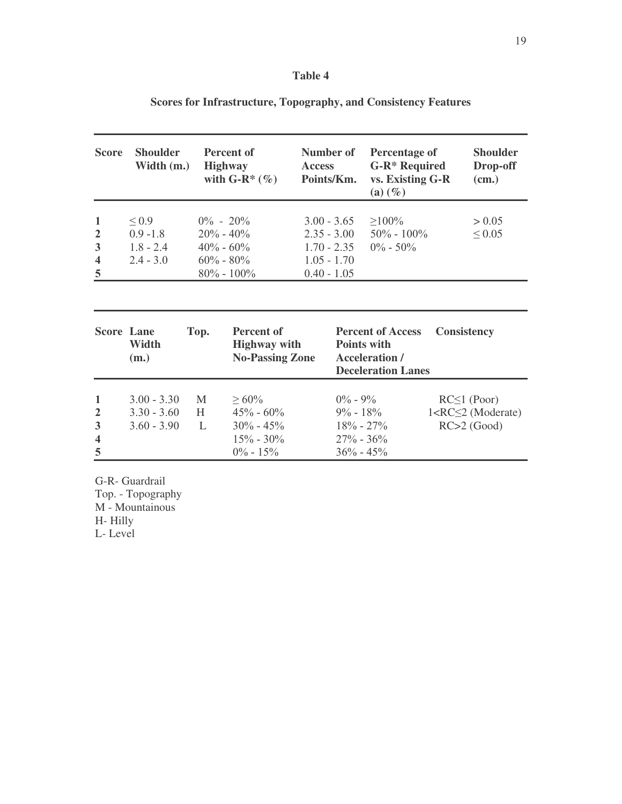| <b>Score</b>                                                        | <b>Shoulder</b><br>Width (m.)                           |             | Percent of<br><b>Highway</b><br>with $G-R^*(\%)$                                  |                                                 | Number of<br><b>Access</b><br>Points/Km. | Percentage of<br><b>G-R*</b> Required<br>vs. Existing G-R<br>$(a)$ $(\%)$                            | <b>Shoulder</b><br>Drop-off<br>(cm.)                            |
|---------------------------------------------------------------------|---------------------------------------------------------|-------------|-----------------------------------------------------------------------------------|-------------------------------------------------|------------------------------------------|------------------------------------------------------------------------------------------------------|-----------------------------------------------------------------|
| $\mathbf{1}$<br>$\overline{2}$<br>3<br>$\overline{\mathbf{4}}$<br>5 | $\leq 0.9$<br>$0.9 - 1.8$<br>$1.8 - 2.4$<br>$2.4 - 3.0$ |             | $0\% - 20\%$<br>$20\% - 40\%$<br>$40\% - 60\%$<br>$60\% - 80\%$<br>$80\% - 100\%$ | $2.35 - 3.00$<br>$1.05 - 1.70$<br>$0.40 - 1.05$ | $3.00 - 3.65$<br>$1.70 - 2.35$           | $\geq 100\%$<br>$50\% - 100\%$<br>$0\% - 50\%$                                                       | > 0.05<br>$\leq 0.05$                                           |
|                                                                     |                                                         |             |                                                                                   |                                                 |                                          |                                                                                                      |                                                                 |
| <b>Score Lane</b>                                                   | Width<br>(m.)                                           | Top.        | <b>Percent of</b><br><b>Highway</b> with<br><b>No-Passing Zone</b>                |                                                 |                                          | <b>Percent of Access</b><br><b>Points with</b><br><b>Acceleration /</b><br><b>Deceleration Lanes</b> | <b>Consistency</b>                                              |
| 1<br>$\overline{2}$<br>3<br>$\overline{\mathbf{4}}$<br>5            | $3.00 - 3.30$<br>$3.30 - 3.60$<br>$3.60 - 3.90$         | M<br>H<br>L | $\geq 60\%$<br>$45\% - 60\%$<br>$30\% - 45\%$<br>$15\% - 30\%$<br>$0\% - 15\%$    |                                                 | $0\% - 9\%$<br>$9\% - 18\%$              | $18\% - 27\%$<br>$27\% - 36\%$<br>$36\% - 45\%$                                                      | $RC \leq 1$ (Poor)<br>$1 < RC \leq 2$ (Moderate)<br>RC>2 (Good) |

**Scores for Infrastructure, Topography, and Consistency Features**

G-R- Guardrail

Top. - Topography M - Mountainous

H- Hilly

L- Level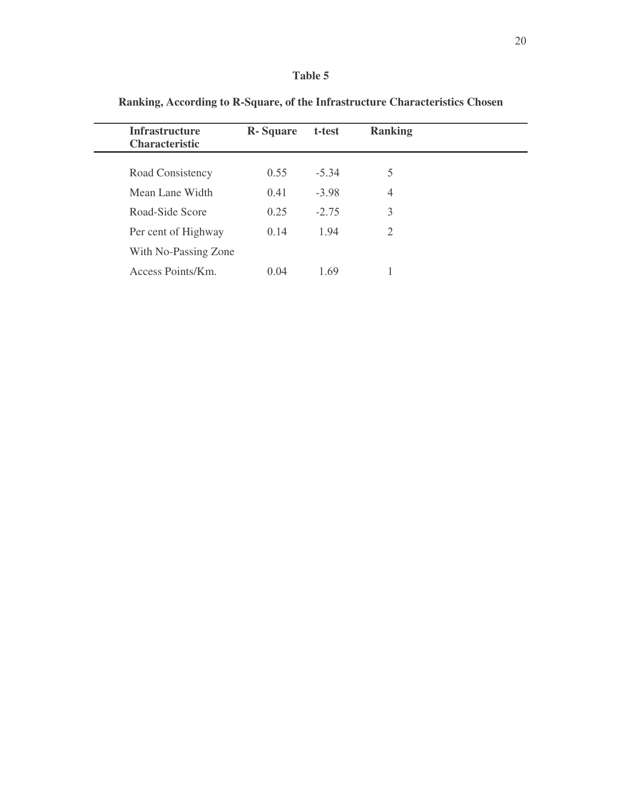| <b>Infrastructure</b><br><b>Characteristic</b> | <b>R</b> -Square | t-test  | <b>Ranking</b> |  |
|------------------------------------------------|------------------|---------|----------------|--|
| Road Consistency                               | 0.55             | $-5.34$ | 5              |  |
| Mean Lane Width                                | 0.41             | $-3.98$ | 4              |  |
| Road-Side Score                                | 0.25             | $-2.75$ | 3              |  |
| Per cent of Highway                            | 0.14             | 194     | 2              |  |
| With No-Passing Zone                           |                  |         |                |  |
| Access Points/Km.                              | 0.04             | 1.69    |                |  |

**Ranking, According to R-Square, of the Infrastructure Characteristics Chosen**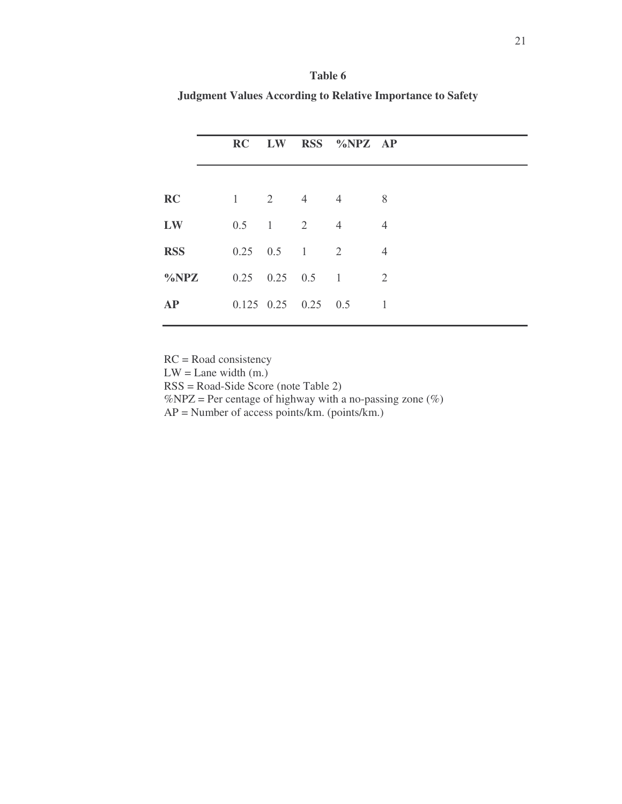| Table 6                                                           |
|-------------------------------------------------------------------|
| <b>Judgment Values According to Relative Importance to Safety</b> |

|            |  |               |                             | RC LW RSS %NPZ AP |                     |
|------------|--|---------------|-----------------------------|-------------------|---------------------|
|            |  |               |                             |                   |                     |
| RC<br>LW   |  | $0.5 \t1 \t2$ | $1 \quad 2 \quad 4 \quad 4$ | $\overline{4}$    | 8<br>$\overline{4}$ |
| <b>RSS</b> |  |               | $0.25 \t 0.5 \t 1 \t 2$     |                   | $\overline{4}$      |
| $\%NPZ$    |  |               | $0.25 \t 0.25 \t 0.5 \t 1$  |                   | 2                   |
| <b>AP</b>  |  |               | $0.125$ $0.25$ $0.25$ $0.5$ |                   |                     |

RC = Road consistency

 $LW =$  Lane width  $(m.)$ 

RSS = Road-Side Score (note Table 2)

%NPZ = Per centage of highway with a no-passing zone  $(\%)$ 

 $AP =$  Number of access points/km. (points/km.)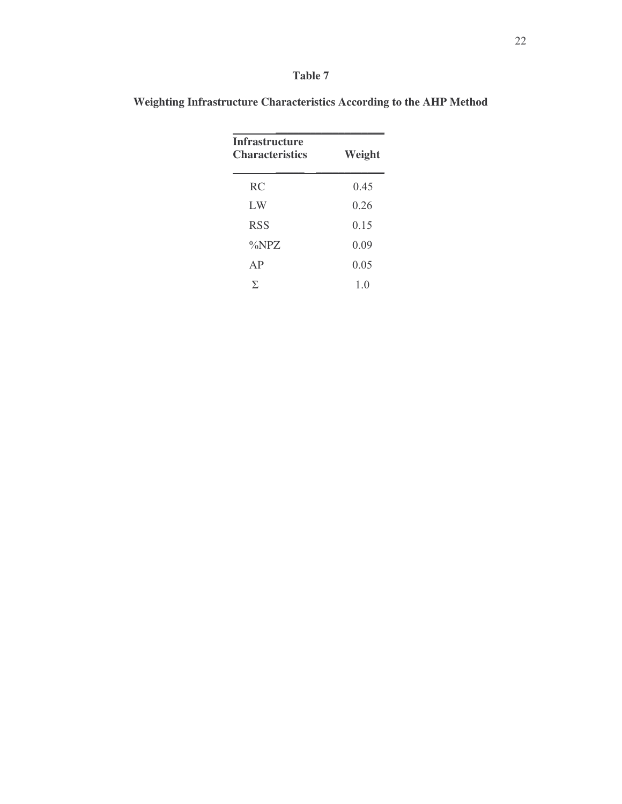| an.<br>٠ |  |
|----------|--|
|----------|--|

| <b>Infrastructure</b><br>Weight<br><b>Characteristics</b> |      |  |  |  |  |
|-----------------------------------------------------------|------|--|--|--|--|
| <b>RC</b>                                                 | 0.45 |  |  |  |  |
| LW                                                        | 026  |  |  |  |  |
| <b>RSS</b>                                                | 0.15 |  |  |  |  |
| $\%NPZ$                                                   | 0.09 |  |  |  |  |
| AP                                                        | 0.05 |  |  |  |  |
| Σ                                                         | 10   |  |  |  |  |

**Weighting Infrastructure Characteristics According to the AHP Method**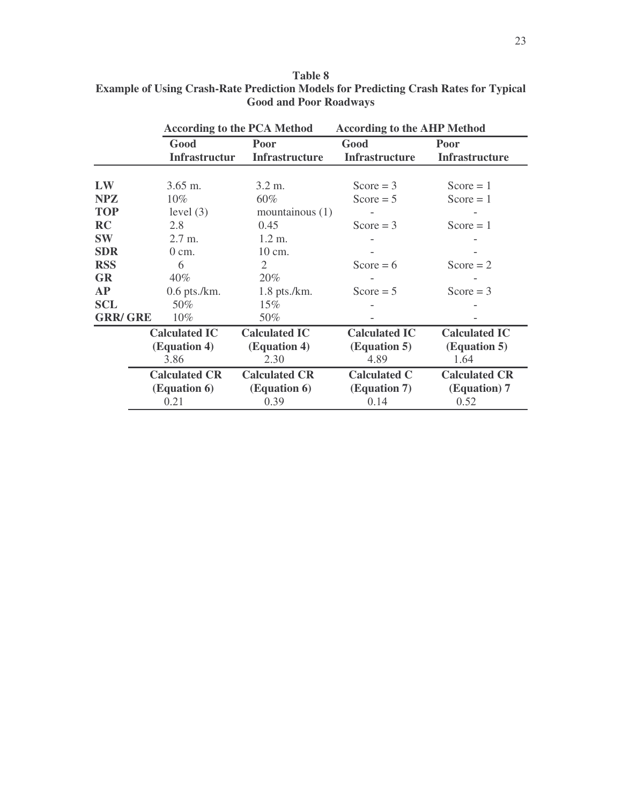| Table 8                                                                                     |
|---------------------------------------------------------------------------------------------|
| <b>Example of Using Crash-Rate Prediction Models for Predicting Crash Rates for Typical</b> |
| <b>Good and Poor Roadways</b>                                                               |

|                |                                              | <b>According to the PCA Method</b>           | <b>According to the AHP Method</b>           |                                              |  |
|----------------|----------------------------------------------|----------------------------------------------|----------------------------------------------|----------------------------------------------|--|
|                | Good<br><b>Infrastructur</b>                 | Poor<br><b>Infrastructure</b>                | Good<br><b>Infrastructure</b>                | Poor<br><b>Infrastructure</b>                |  |
| LW             |                                              |                                              |                                              |                                              |  |
| <b>NPZ</b>     | $3.65$ m.<br>$10\%$                          | $3.2 \text{ m}$ .<br>60%                     | $Score = 3$<br>Score = $5$                   | $Score = 1$<br>$Score = 1$                   |  |
| <b>TOP</b>     | level $(3)$                                  | mountainous $(1)$                            |                                              |                                              |  |
| <b>RC</b>      | 2.8                                          | 0.45                                         | Score = $3$                                  | $Score = 1$                                  |  |
| <b>SW</b>      | $2.7 \text{ m.}$                             | $1.2 \text{ m}$ .                            |                                              |                                              |  |
| <b>SDR</b>     | $0 \text{ cm}$ .                             | 10 cm.                                       |                                              |                                              |  |
| <b>RSS</b>     | 6                                            | $\mathfrak{2}$                               | Score = $6$                                  | Score = $2$                                  |  |
| <b>GR</b>      | $40\%$                                       | 20%                                          |                                              |                                              |  |
| <b>AP</b>      | $0.6$ pts./km.                               | $1.8$ pts./km.                               | Score = $5$                                  | Score = $3$                                  |  |
| <b>SCL</b>     | 50%                                          | 15%                                          |                                              |                                              |  |
| <b>GRR/GRE</b> | 10%                                          | 50%                                          |                                              |                                              |  |
|                | <b>Calculated IC</b><br>(Equation 4)<br>3.86 | <b>Calculated IC</b><br>(Equation 4)<br>2.30 | <b>Calculated IC</b><br>(Equation 5)<br>4.89 | <b>Calculated IC</b><br>(Equation 5)<br>1.64 |  |
|                | <b>Calculated CR</b><br>(Equation 6)<br>0.21 | <b>Calculated CR</b><br>(Equation 6)<br>0.39 | <b>Calculated C</b><br>(Equation 7)<br>0.14  | <b>Calculated CR</b><br>(Equation) 7<br>0.52 |  |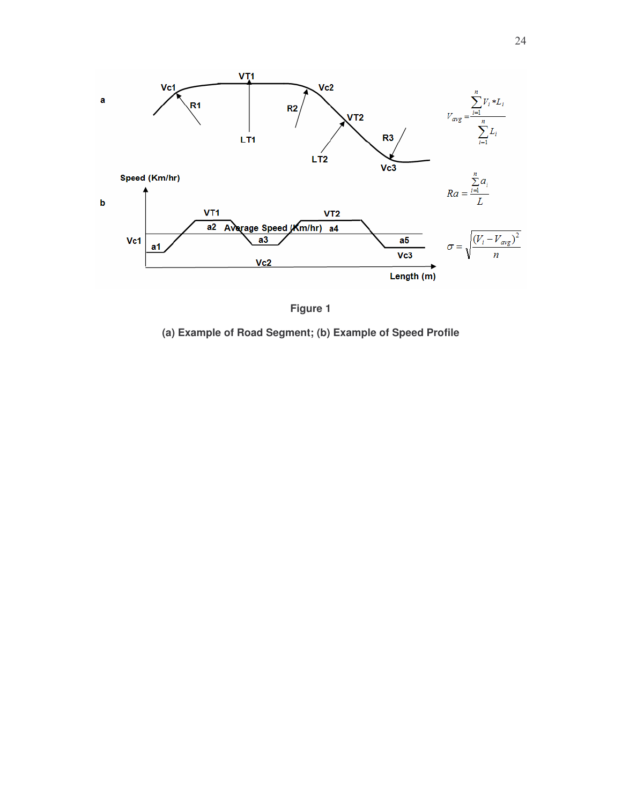

**Figure 1**

**(a) Example of Road Segment; (b) Example of Speed Profile**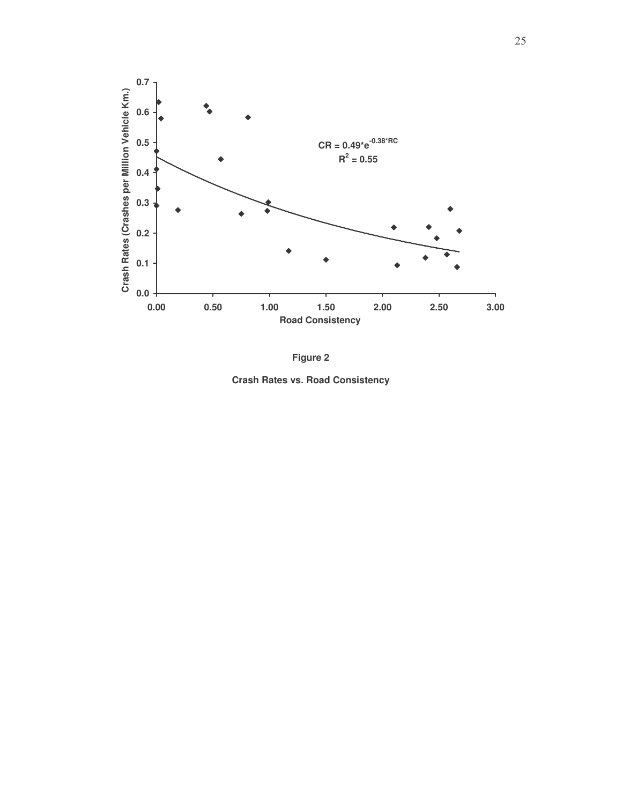

**F i g u r e 2**

**Crash Rates vs. Road Consistency**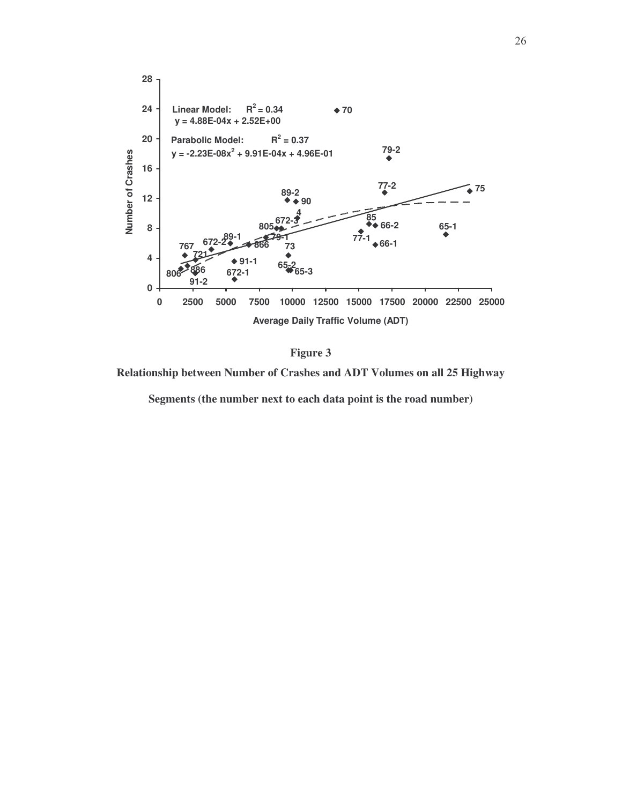

**Figure 3**

**Relationship between Number of Crashes and ADT Volumes on all 25 Highway**

**Segments (the number next to each data point is the road number)**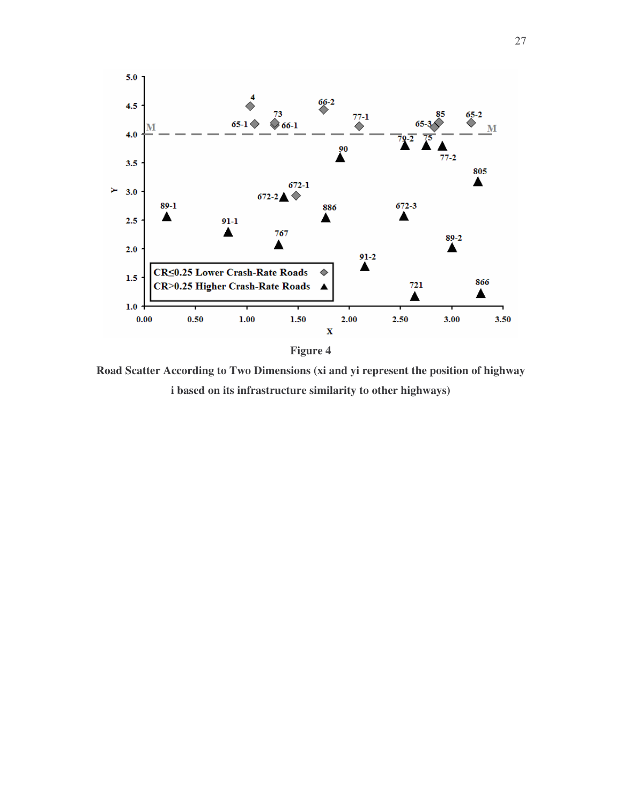

**Road Scatter According to Two Dimensions (xi and yi represent the position of highway i based on its infrastructure similarity to other highways)**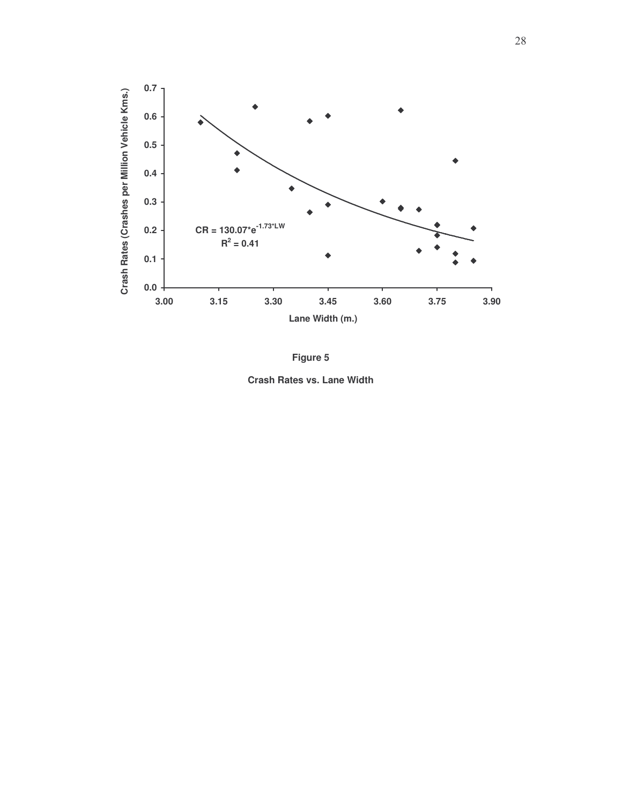



**Crash Rates vs. Lane Width**